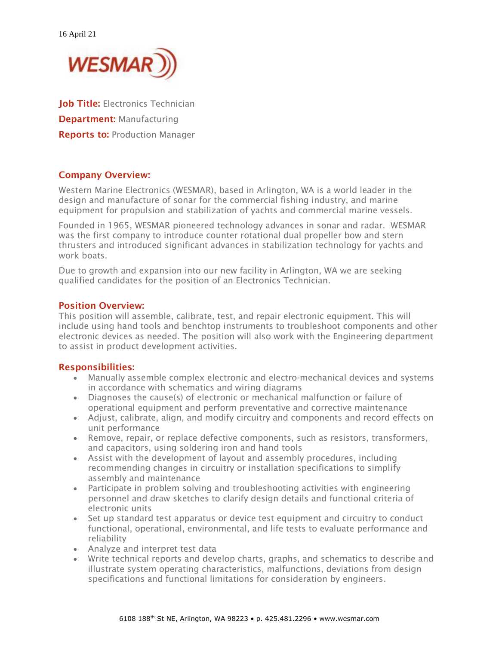

Job Title: Electronics Technician **Department: Manufacturing Reports to: Production Manager** 

## Company Overview:

Western Marine Electronics (WESMAR), based in Arlington, WA is a world leader in the design and manufacture of sonar for the commercial fishing industry, and marine equipment for propulsion and stabilization of yachts and commercial marine vessels.

Founded in 1965, WESMAR pioneered technology advances in sonar and radar. WESMAR was the first company to introduce counter rotational dual propeller bow and stern thrusters and introduced significant advances in stabilization technology for yachts and work boats

Due to growth and expansion into our new facility in Arlington, WA we are seeking qualified candidates for the position of an Electronics Technician.

### Position Overview:

This position will assemble, calibrate, test, and repair electronic equipment. This will include using hand tools and benchtop instruments to troubleshoot components and other electronic devices as needed. The position will also work with the Engineering department to assist in product development activities.

### Responsibilities:

- Manually assemble complex electronic and electro-mechanical devices and systems in accordance with schematics and wiring diagrams
- Diagnoses the cause(s) of electronic or mechanical malfunction or failure of operational equipment and perform preventative and corrective maintenance
- Adjust, calibrate, align, and modify circuitry and components and record effects on unit performance
- Remove, repair, or replace defective components, such as resistors, transformers, and capacitors, using soldering iron and hand tools
- Assist with the development of layout and assembly procedures, including recommending changes in circuitry or installation specifications to simplify assembly and maintenance
- Participate in problem solving and troubleshooting activities with engineering personnel and draw sketches to clarify design details and functional criteria of electronic units
- Set up standard test apparatus or device test equipment and circuitry to conduct functional, operational, environmental, and life tests to evaluate performance and reliability
- Analyze and interpret test data
- Write technical reports and develop charts, graphs, and schematics to describe and illustrate system operating characteristics, malfunctions, deviations from design specifications and functional limitations for consideration by engineers.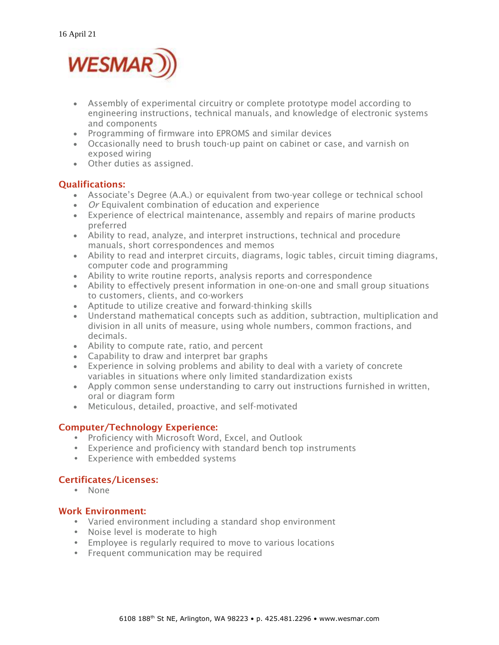

- Assembly of experimental circuitry or complete prototype model according to engineering instructions, technical manuals, and knowledge of electronic systems and components
- Programming of firmware into EPROMS and similar devices
- Occasionally need to brush touch-up paint on cabinet or case, and varnish on exposed wiring
- Other duties as assigned.

## Qualifications:

- Associate's Degree (A.A.) or equivalent from two-year college or technical school
- *Or* Equivalent combination of education and experience
- Experience of electrical maintenance, assembly and repairs of marine products preferred
- Ability to read, analyze, and interpret instructions, technical and procedure manuals, short correspondences and memos
- Ability to read and interpret circuits, diagrams, logic tables, circuit timing diagrams, computer code and programming
- Ability to write routine reports, analysis reports and correspondence
- Ability to effectively present information in one-on-one and small group situations to customers, clients, and co-workers
- Aptitude to utilize creative and forward-thinking skills
- Understand mathematical concepts such as addition, subtraction, multiplication and division in all units of measure, using whole numbers, common fractions, and decimals.
- Ability to compute rate, ratio, and percent
- Capability to draw and interpret bar graphs
- Experience in solving problems and ability to deal with a variety of concrete variables in situations where only limited standardization exists
- Apply common sense understanding to carry out instructions furnished in written, oral or diagram form
- Meticulous, detailed, proactive, and self-motivated

## Computer/Technology Experience:

- Proficiency with Microsoft Word, Excel, and Outlook
- Experience and proficiency with standard bench top instruments
- Experience with embedded systems

# Certificates/Licenses:

• None

## Work Environment:

- Varied environment including a standard shop environment
- Noise level is moderate to high
- Employee is regularly required to move to various locations
- Frequent communication may be required